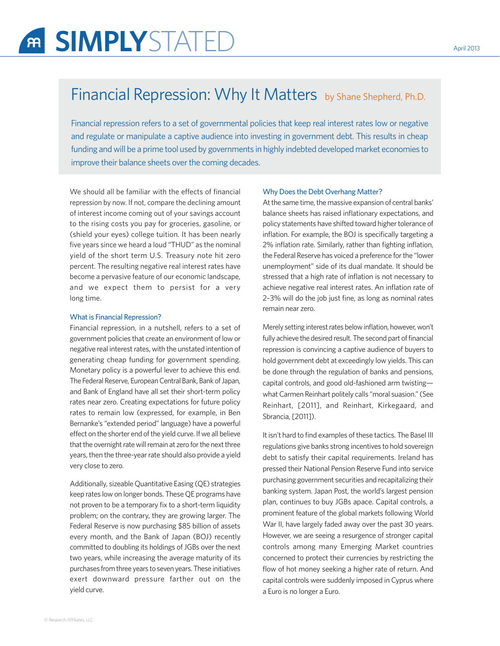# SIMPLYSTATED April 2013

# Financial Repression: Why It Matters by Shane Shepherd, Ph.D.

Financial repression refers to a set of governmental policies that keep real interest rates low or negative and regulate or manipulate a captive audience into investing in government debt. This results in cheap funding and will be a prime tool used by governments in highly indebted developed market economies to improve their balance sheets over the coming decades.

We should all be familiar with the effects of financial repression by now. If not, compare the declining amount of interest income coming out of your savings account to the rising costs you pay for groceries, gasoline, or (shield your eyes) college tuition. It has been nearly five years since we heard a loud "THUD" as the nominal yield of the short term U.S. Treasury note hit zero percent. The resulting negative real interest rates have become a pervasive feature of our economic landscape, and we expect them to persist for a very long time.

#### What is Financial Repression?

Financial repression, in a nutshell, refers to a set of government policies that create an environment of low or negative real interest rates, with the unstated intention of generating cheap funding for government spending. Monetary policy is a powerful lever to achieve this end. The Federal Reserve, European Central Bank, Bank of Japan, and Bank of England have all set their short-term policy rates near zero. Creating expectations for future policy rates to remain low (expressed, for example, in Ben Bernanke's "extended period" language) have a powerful effect on the shorter end of the yield curve. If we all believe that the overnight rate will remain at zero for the next three years, then the three-year rate should also provide a yield very close to zero.

Additionally, sizeable Quantitative Easing (QE) strategies keep rates low on longer bonds. These QE programs have not proven to be a temporary fix to a short-term liquidity problem; on the contrary, they are growing larger. The Federal Reserve is now purchasing \$85 billion of assets every month, and the Bank of Japan (BOJ) recently committed to doubling its holdings of JGBs over the next two years, while increasing the average maturity of its purchases from three years to seven years. These initiatives exert downward pressure farther out on the yield curve.

#### Why Does the Debt Overhang Matter?

At the same time, the massive expansion of central banks' balance sheets has raised inflationary expectations, and policy statements have shifted toward higher tolerance of inflation. For example, the BOJ is specifically targeting a 2% inflation rate. Similarly, rather than fighting inflation, the Federal Reserve has voiced a preference for the "lower unemployment" side of its dual mandate. It should be stressed that a high rate of inflation is not necessary to achieve negative real interest rates. An inflation rate of 2–3% will do the job just fine, as long as nominal rates remain near zero.

Merely setting interest rates below inflation, however, won't fully achieve the desired result. The second part of financial repression is convincing a captive audience of buyers to hold government debt at exceedingly low yields. This can be done through the regulation of banks and pensions, capital controls, and good old-fashioned arm twisting what Carmen Reinhart politely calls "moral suasion." (See Reinhart, [2011], and Reinhart, Kirkegaard, and Sbrancia, [2011]).

It isn't hard to find examples of these tactics. The Basel III regulations give banks strong incentives to hold sovereign debt to satisfy their capital requirements. Ireland has pressed their National Pension Reserve Fund into service purchasing government securities and recapitalizing their banking system. Japan Post, the world's largest pension plan, continues to buy JGBs apace. Capital controls, a prominent feature of the global markets following World War II, have largely faded away over the past 30 years. However, we are seeing a resurgence of stronger capital controls among many Emerging Market countries concerned to protect their currencies by restricting the flow of hot money seeking a higher rate of return. And capital controls were suddenly imposed in Cyprus where a Euro is no longer a Euro.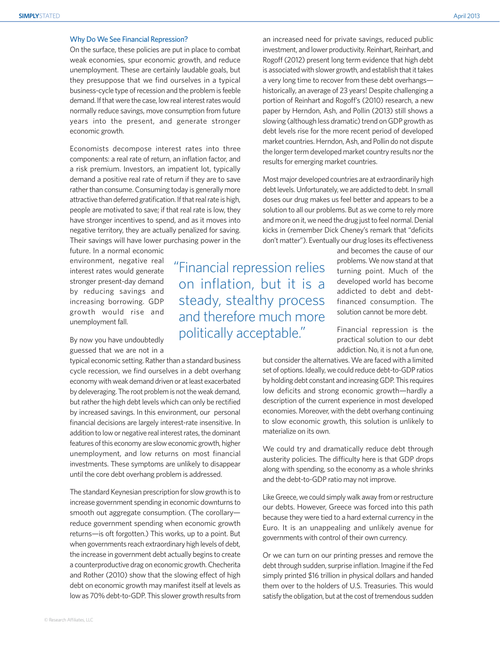# Why Do We See Financial Repression?

On the surface, these policies are put in place to combat weak economies, spur economic growth, and reduce unemployment. These are certainly laudable goals, but they presuppose that we find ourselves in a typical business-cycle type of recession and the problem is feeble demand. If that were the case, low real interest rates would normally reduce savings, move consumption from future years into the present, and generate stronger economic growth.

Economists decompose interest rates into three components: a real rate of return, an inflation factor, and a risk premium. Investors, an impatient lot, typically demand a positive real rate of return if they are to save rather than consume. Consuming today is generally more attractive than deferred gratification. If that real rate is high, people are motivated to save; if that real rate is low, they have stronger incentives to spend, and as it moves into negative territory, they are actually penalized for saving. Their savings will have lower purchasing power in the

future. In a normal economic environment, negative real interest rates would generate stronger present-day demand by reducing savings and increasing borrowing. GDP growth would rise and unemployment fall.

By now you have undoubtedly guessed that we are not in a

typical economic setting. Rather than a standard business cycle recession, we find ourselves in a debt overhang economy with weak demand driven or at least exacerbated by deleveraging. The root problem is not the weak demand, but rather the high debt levels which can only be rectified by increased savings. In this environment, our personal financial decisions are largely interest-rate insensitive. In addition to low or negative real interest rates, the dominant features of this economy are slow economic growth, higher unemployment, and low returns on most financial investments. These symptoms are unlikely to disappear until the core debt overhang problem is addressed.

The standard Keynesian prescription for slow growth is to increase government spending in economic downturns to smooth out aggregate consumption. (The corollary reduce government spending when economic growth returns—is oft forgotten.) This works, up to a point. But when governments reach extraordinary high levels of debt, the increase in government debt actually begins to create a counterproductive drag on economic growth. Checherita and Rother (2010) show that the slowing effect of high debt on economic growth may manifest itself at levels as low as 70% debt-to-GDP. This slower growth results from

Financial repression relies on inflation, but it is a steady, stealthy process and therefore much more politically acceptable.

an increased need for private savings, reduced public investment, and lower productivity. Reinhart, Reinhart, and Rogoff (2012) present long term evidence that high debt is associated with slower growth, and establish that it takes a very long time to recover from these debt overhangs historically, an average of 23 years! Despite challenging a portion of Reinhart and Rogoff's (2010) research, a new paper by Herndon, Ash, and Pollin (2013) still shows a slowing (although less dramatic) trend on GDP growth as debt levels rise for the more recent period of developed market countries. Herndon, Ash, and Pollin do not dispute the longer term developed market country results nor the results for emerging market countries.

Most major developed countries are at extraordinarily high debt levels. Unfortunately, we are addicted to debt. In small doses our drug makes us feel better and appears to be a solution to all our problems. But as we come to rely more and more on it, we need the drug just to feel normal. Denial kicks in (remember Dick Cheney's remark that "deficits don't matter"). Eventually our drug loses its effectiveness

> and becomes the cause of our problems. We now stand at that turning point. Much of the developed world has become addicted to debt and debtfinanced consumption. The solution cannot be more debt.

> Financial repression is the practical solution to our debt addiction. No, it is not a fun one,

but consider the alternatives. We are faced with a limited set of options. Ideally, we could reduce debt-to-GDP ratios by holding debt constant and increasing GDP. This requires low deficits and strong economic growth—hardly a description of the current experience in most developed economies. Moreover, with the debt overhang continuing to slow economic growth, this solution is unlikely to materialize on its own.

We could try and dramatically reduce debt through austerity policies. The difficulty here is that GDP drops along with spending, so the economy as a whole shrinks and the debt-to-GDP ratio may not improve.

Like Greece, we could simply walk away from or restructure our debts. However, Greece was forced into this path because they were tied to a hard external currency in the Euro. It is an unappealing and unlikely avenue for governments with control of their own currency.

Or we can turn on our printing presses and remove the debt through sudden, surprise inflation. Imagine if the Fed simply printed \$16 trillion in physical dollars and handed them over to the holders of U.S. Treasuries. This would satisfy the obligation, but at the cost of tremendous sudden